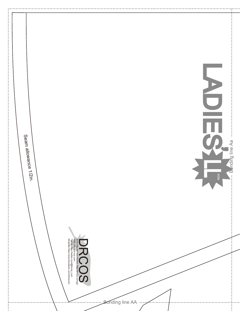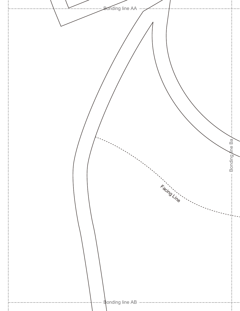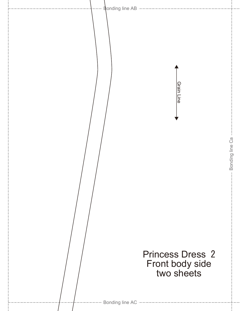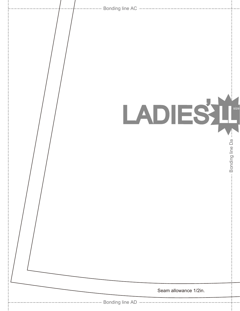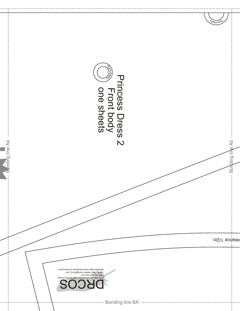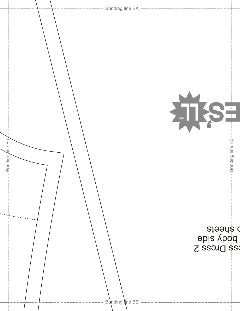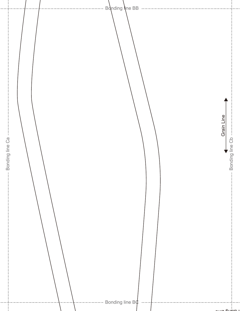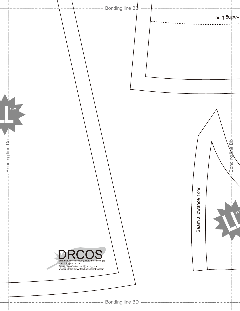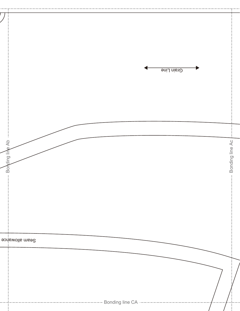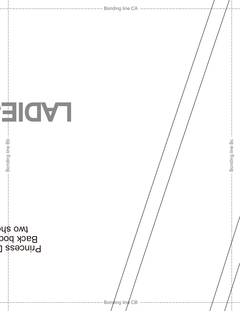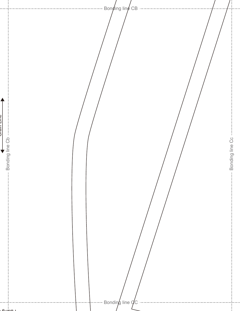Bonding line CB D<br>Die Line<br>Die Die Die D DIET I IID IN Bonding line Cb --Bonding line Cc -Bonding line Cb Bonding line Cc  $\downarrow$ Bonding line  $\overline{q}$ C  $.$   $\epsilon$   $\omega$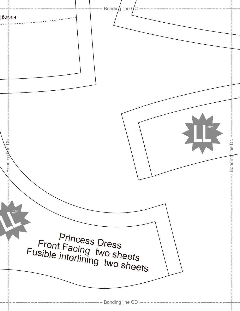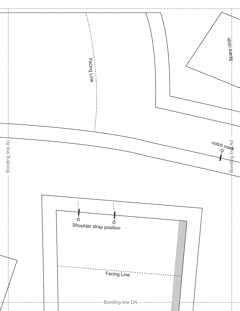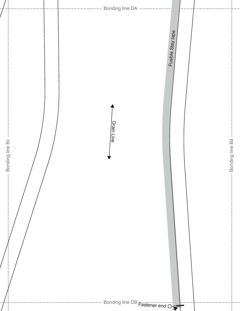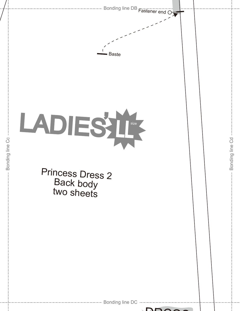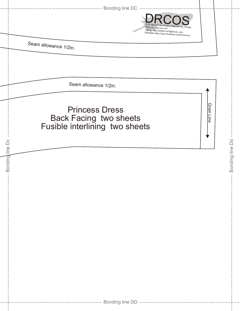|                 | --------------------------------- Bonding line DC -----------------                                                                                               |                 |
|-----------------|-------------------------------------------------------------------------------------------------------------------------------------------------------------------|-----------------|
|                 | SITE http://dr-cos.info(en) http://dr-cos.com(jp)<br>MAIL info@dr-cos.com<br>Twitter https://twitter.com/@drcos_com<br>facebook https://www.facebook.com/drcoscom |                 |
|                 | Seam allowance 1/2in.                                                                                                                                             |                 |
|                 |                                                                                                                                                                   |                 |
|                 | Seam allowance 1/2in.                                                                                                                                             |                 |
|                 | <u>Grain Line</u><br><b>Princess Dress</b><br>Back Facing two sheets<br>Fusible interlining two sheets                                                            |                 |
| Bonding line Dc | $\pm$                                                                                                                                                             | Bonding line Dd |
|                 |                                                                                                                                                                   |                 |
|                 |                                                                                                                                                                   |                 |
|                 |                                                                                                                                                                   |                 |
|                 |                                                                                                                                                                   |                 |
|                 |                                                                                                                                                                   |                 |
|                 |                                                                                                                                                                   |                 |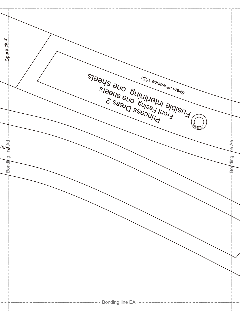